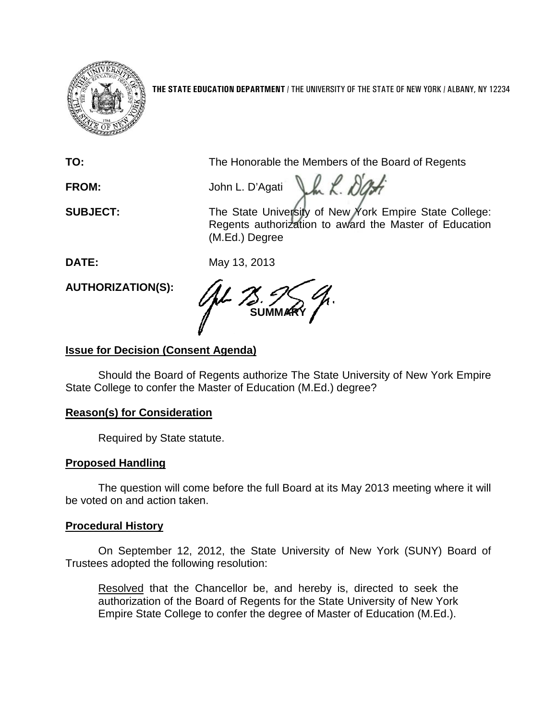

**THE STATE EDUCATION DEPARTMENT** / THE UNIVERSITY OF THE STATE OF NEW YORK / ALBANY, NY 12234

**TO:** The Honorable the Members of the Board of Regents

FROM: John L. D'Agati La *K. DOH* 

**SUBJECT:** The State University of New York Empire State College: Regents authorization to award the Master of Education (M.Ed.) Degree

**DATE:** May 13, 2013

**AUTHORIZATION(S):**

**SUMMARY**

# **Issue for Decision (Consent Agenda)**

Should the Board of Regents authorize The State University of New York Empire State College to confer the Master of Education (M.Ed.) degree?

## **Reason(s) for Consideration**

Required by State statute.

# **Proposed Handling**

The question will come before the full Board at its May 2013 meeting where it will be voted on and action taken.

## **Procedural History**

On September 12, 2012, the State University of New York (SUNY) Board of Trustees adopted the following resolution:

Resolved that the Chancellor be, and hereby is, directed to seek the authorization of the Board of Regents for the State University of New York Empire State College to confer the degree of Master of Education (M.Ed.).